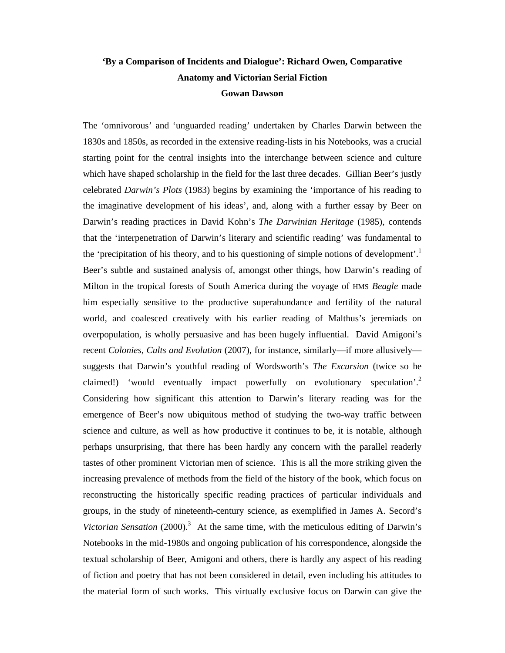# **'By a Comparison of Incidents and Dialogue': Richard Owen, Comparative Anatomy and Victorian Serial Fiction Gowan Dawson**

The 'omnivorous' and 'unguarded reading' undertaken by Charles Darwin between the 1830s and 1850s, as recorded in the extensive reading-lists in his Notebooks, was a crucial starting point for the central insights into the interchange between science and culture which have shaped scholarship in the field for the last three decades. Gillian Beer's justly celebrated *Darwin's Plots* (1983) begins by examining the 'importance of his reading to the imaginative development of his ideas', and, along with a further essay by Beer on Darwin's reading practices in David Kohn's *The Darwinian Heritage* (1985), contends that the 'interpenetration of Darwin's literary and scientific reading' was fundamental to the 'precipitation of his theory, and to his questioning of simple notions of development'.<sup>1</sup> Beer's subtle and sustained analysis of, amongst other things, how Darwin's reading of Milton in the tropical forests of South America during the voyage of HMS *Beagle* made him especially sensitive to the productive superabundance and fertility of the natural world, and coalesced creatively with his earlier reading of Malthus's jeremiads on overpopulation, is wholly persuasive and has been hugely influential. David Amigoni's recent *Colonies, Cults and Evolution* (2007), for instance, similarly—if more allusively suggests that Darwin's youthful reading of Wordsworth's *The Excursion* (twice so he claimed!) 'would eventually impact powerfully on evolutionary speculation'.<sup>2</sup> Considering how significant this attention to Darwin's literary reading was for the emergence of Beer's now ubiquitous method of studying the two-way traffic between science and culture, as well as how productive it continues to be, it is notable, although perhaps unsurprising, that there has been hardly any concern with the parallel readerly tastes of other prominent Victorian men of science. This is all the more striking given the increasing prevalence of methods from the field of the history of the book, which focus on reconstructing the historically specific reading practices of particular individuals and groups, in the study of nineteenth-century science, as exemplified in James A. Secord's Victorian Sensation (2000).<sup>3</sup> At the same time, with the meticulous editing of Darwin's Notebooks in the mid-1980s and ongoing publication of his correspondence, alongside the textual scholarship of Beer, Amigoni and others, there is hardly any aspect of his reading of fiction and poetry that has not been considered in detail, even including his attitudes to the material form of such works. This virtually exclusive focus on Darwin can give the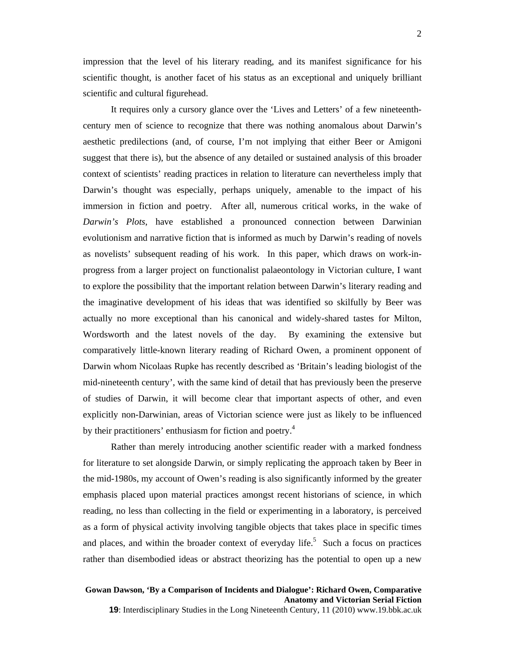impression that the level of his literary reading, and its manifest significance for his scientific thought, is another facet of his status as an exceptional and uniquely brilliant scientific and cultural figurehead.

It requires only a cursory glance over the 'Lives and Letters' of a few nineteenthcentury men of science to recognize that there was nothing anomalous about Darwin's aesthetic predilections (and, of course, I'm not implying that either Beer or Amigoni suggest that there is), but the absence of any detailed or sustained analysis of this broader context of scientists' reading practices in relation to literature can nevertheless imply that Darwin's thought was especially, perhaps uniquely, amenable to the impact of his immersion in fiction and poetry. After all, numerous critical works, in the wake of *Darwin's Plots*, have established a pronounced connection between Darwinian evolutionism and narrative fiction that is informed as much by Darwin's reading of novels as novelists' subsequent reading of his work. In this paper, which draws on work-inprogress from a larger project on functionalist palaeontology in Victorian culture, I want to explore the possibility that the important relation between Darwin's literary reading and the imaginative development of his ideas that was identified so skilfully by Beer was actually no more exceptional than his canonical and widely-shared tastes for Milton, Wordsworth and the latest novels of the day. By examining the extensive but comparatively little-known literary reading of Richard Owen, a prominent opponent of Darwin whom Nicolaas Rupke has recently described as 'Britain's leading biologist of the mid-nineteenth century', with the same kind of detail that has previously been the preserve of studies of Darwin, it will become clear that important aspects of other, and even explicitly non-Darwinian, areas of Victorian science were just as likely to be influenced by their practitioners' enthusiasm for fiction and poetry.<sup>4</sup>

Rather than merely introducing another scientific reader with a marked fondness for literature to set alongside Darwin, or simply replicating the approach taken by Beer in the mid-1980s, my account of Owen's reading is also significantly informed by the greater emphasis placed upon material practices amongst recent historians of science, in which reading, no less than collecting in the field or experimenting in a laboratory, is perceived as a form of physical activity involving tangible objects that takes place in specific times and places, and within the broader context of everyday life.<sup>5</sup> Such a focus on practices rather than disembodied ideas or abstract theorizing has the potential to open up a new

### **Gowan Dawson, 'By a Comparison of Incidents and Dialogue': Richard Owen, Comparative Anatomy and Victorian Serial Fiction**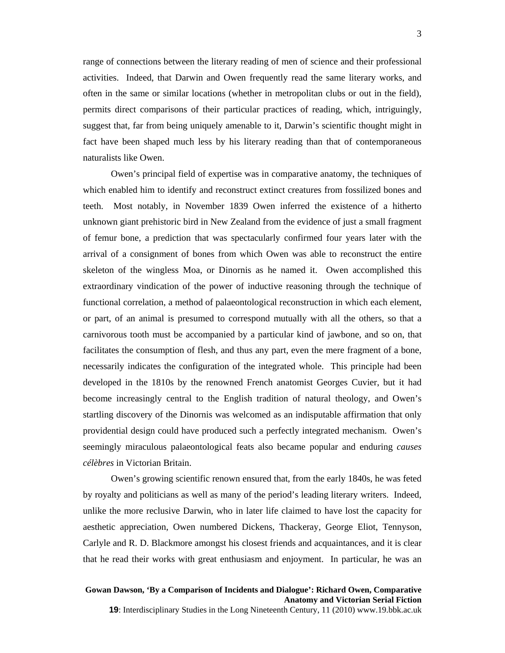range of connections between the literary reading of men of science and their professional activities. Indeed, that Darwin and Owen frequently read the same literary works, and often in the same or similar locations (whether in metropolitan clubs or out in the field), permits direct comparisons of their particular practices of reading, which, intriguingly, suggest that, far from being uniquely amenable to it, Darwin's scientific thought might in fact have been shaped much less by his literary reading than that of contemporaneous naturalists like Owen.

Owen's principal field of expertise was in comparative anatomy, the techniques of which enabled him to identify and reconstruct extinct creatures from fossilized bones and teeth. Most notably, in November 1839 Owen inferred the existence of a hitherto unknown giant prehistoric bird in New Zealand from the evidence of just a small fragment of femur bone, a prediction that was spectacularly confirmed four years later with the arrival of a consignment of bones from which Owen was able to reconstruct the entire skeleton of the wingless Moa, or Dinornis as he named it. Owen accomplished this extraordinary vindication of the power of inductive reasoning through the technique of functional correlation, a method of palaeontological reconstruction in which each element, or part, of an animal is presumed to correspond mutually with all the others, so that a carnivorous tooth must be accompanied by a particular kind of jawbone, and so on, that facilitates the consumption of flesh, and thus any part, even the mere fragment of a bone, necessarily indicates the configuration of the integrated whole. This principle had been developed in the 1810s by the renowned French anatomist Georges Cuvier, but it had become increasingly central to the English tradition of natural theology, and Owen's startling discovery of the Dinornis was welcomed as an indisputable affirmation that only providential design could have produced such a perfectly integrated mechanism. Owen's seemingly miraculous palaeontological feats also became popular and enduring *causes célèbres* in Victorian Britain.

Owen's growing scientific renown ensured that, from the early 1840s, he was feted by royalty and politicians as well as many of the period's leading literary writers. Indeed, unlike the more reclusive Darwin, who in later life claimed to have lost the capacity for aesthetic appreciation, Owen numbered Dickens, Thackeray, George Eliot, Tennyson, Carlyle and R. D. Blackmore amongst his closest friends and acquaintances, and it is clear that he read their works with great enthusiasm and enjoyment. In particular, he was an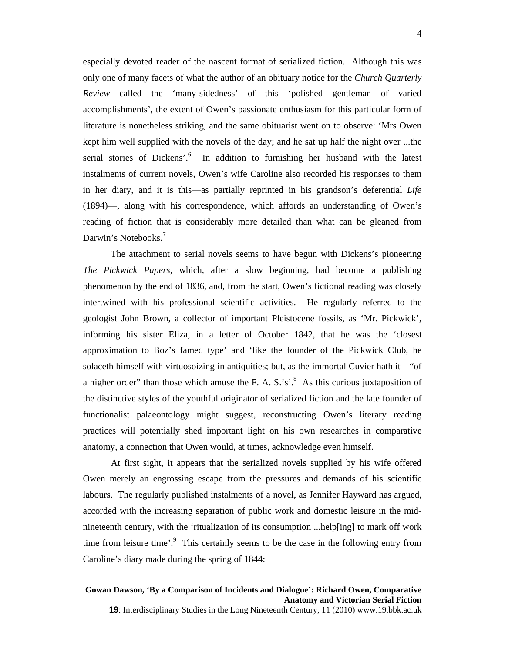especially devoted reader of the nascent format of serialized fiction. Although this was only one of many facets of what the author of an obituary notice for the *Church Quarterly Review* called the 'many-sidedness' of this 'polished gentleman of varied accomplishments', the extent of Owen's passionate enthusiasm for this particular form of literature is nonetheless striking, and the same obituarist went on to observe: 'Mrs Owen kept him well supplied with the novels of the day; and he sat up half the night over ...the serial stories of Dickens'.<sup>6</sup> In addition to furnishing her husband with the latest instalments of current novels, Owen's wife Caroline also recorded his responses to them in her diary, and it is this—as partially reprinted in his grandson's deferential *Life* (1894)—, along with his correspondence, which affords an understanding of Owen's reading of fiction that is considerably more detailed than what can be gleaned from Darwin's Notebooks.<sup>7</sup>

The attachment to serial novels seems to have begun with Dickens's pioneering *The Pickwick Papers*, which, after a slow beginning, had become a publishing phenomenon by the end of 1836, and, from the start, Owen's fictional reading was closely intertwined with his professional scientific activities. He regularly referred to the geologist John Brown, a collector of important Pleistocene fossils, as 'Mr. Pickwick', informing his sister Eliza, in a letter of October 1842, that he was the 'closest approximation to Boz's famed type' and 'like the founder of the Pickwick Club, he solaceth himself with virtuosoizing in antiquities; but, as the immortal Cuvier hath it—"of a higher order" than those which amuse the F. A. S.'s'.<sup>8</sup> As this curious juxtaposition of the distinctive styles of the youthful originator of serialized fiction and the late founder of functionalist palaeontology might suggest, reconstructing Owen's literary reading practices will potentially shed important light on his own researches in comparative anatomy, a connection that Owen would, at times, acknowledge even himself.

 At first sight, it appears that the serialized novels supplied by his wife offered Owen merely an engrossing escape from the pressures and demands of his scientific labours. The regularly published instalments of a novel, as Jennifer Hayward has argued, accorded with the increasing separation of public work and domestic leisure in the midnineteenth century, with the 'ritualization of its consumption ...help[ing] to mark off work time from leisure time'.<sup>9</sup> This certainly seems to be the case in the following entry from Caroline's diary made during the spring of 1844: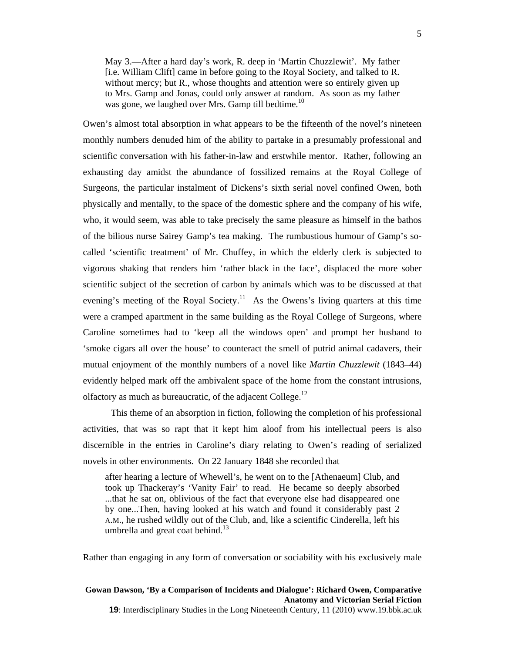May 3.—After a hard day's work, R. deep in 'Martin Chuzzlewit'. My father [i.e. William Clift] came in before going to the Royal Society, and talked to R. without mercy; but R., whose thoughts and attention were so entirely given up to Mrs. Gamp and Jonas, could only answer at random. As soon as my father was gone, we laughed over Mrs. Gamp till bedtime.<sup>10</sup>

Owen's almost total absorption in what appears to be the fifteenth of the novel's nineteen monthly numbers denuded him of the ability to partake in a presumably professional and scientific conversation with his father-in-law and erstwhile mentor. Rather, following an exhausting day amidst the abundance of fossilized remains at the Royal College of Surgeons, the particular instalment of Dickens's sixth serial novel confined Owen, both physically and mentally, to the space of the domestic sphere and the company of his wife, who, it would seem, was able to take precisely the same pleasure as himself in the bathos of the bilious nurse Sairey Gamp's tea making. The rumbustious humour of Gamp's socalled 'scientific treatment' of Mr. Chuffey, in which the elderly clerk is subjected to vigorous shaking that renders him 'rather black in the face', displaced the more sober scientific subject of the secretion of carbon by animals which was to be discussed at that evening's meeting of the Royal Society.<sup>11</sup> As the Owens's living quarters at this time were a cramped apartment in the same building as the Royal College of Surgeons, where Caroline sometimes had to 'keep all the windows open' and prompt her husband to 'smoke cigars all over the house' to counteract the smell of putrid animal cadavers, their mutual enjoyment of the monthly numbers of a novel like *Martin Chuzzlewit* (1843–44) evidently helped mark off the ambivalent space of the home from the constant intrusions, olfactory as much as bureaucratic, of the adjacent College.<sup>12</sup>

 This theme of an absorption in fiction, following the completion of his professional activities, that was so rapt that it kept him aloof from his intellectual peers is also discernible in the entries in Caroline's diary relating to Owen's reading of serialized novels in other environments. On 22 January 1848 she recorded that

after hearing a lecture of Whewell's, he went on to the [Athenaeum] Club, and took up Thackeray's 'Vanity Fair' to read. He became so deeply absorbed ...that he sat on, oblivious of the fact that everyone else had disappeared one by one...Then, having looked at his watch and found it considerably past 2 A.M., he rushed wildly out of the Club, and, like a scientific Cinderella, left his umbrella and great coat behind.<sup>13</sup>

Rather than engaging in any form of conversation or sociability with his exclusively male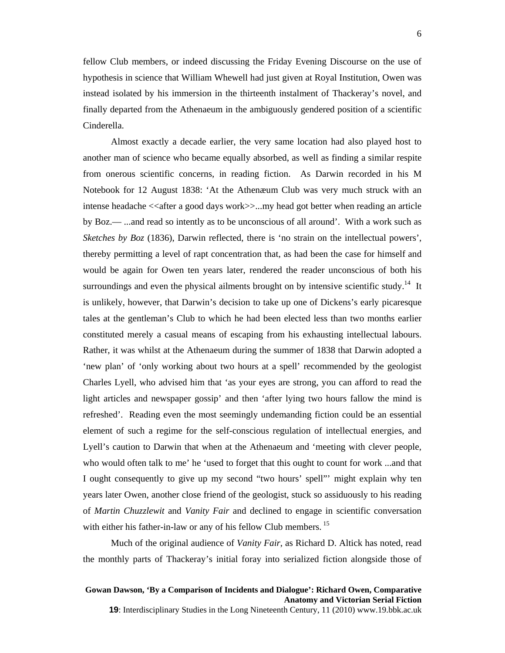6

fellow Club members, or indeed discussing the Friday Evening Discourse on the use of hypothesis in science that William Whewell had just given at Royal Institution, Owen was instead isolated by his immersion in the thirteenth instalment of Thackeray's novel, and finally departed from the Athenaeum in the ambiguously gendered position of a scientific Cinderella.

Almost exactly a decade earlier, the very same location had also played host to another man of science who became equally absorbed, as well as finding a similar respite from onerous scientific concerns, in reading fiction. As Darwin recorded in his M Notebook for 12 August 1838: 'At the Athenæum Club was very much struck with an intense headache <<after a good days work>>...my head got better when reading an article by Boz.— ...and read so intently as to be unconscious of all around'. With a work such as *Sketches by Boz* (1836), Darwin reflected, there is 'no strain on the intellectual powers', thereby permitting a level of rapt concentration that, as had been the case for himself and would be again for Owen ten years later, rendered the reader unconscious of both his surroundings and even the physical ailments brought on by intensive scientific study.<sup>14</sup> It is unlikely, however, that Darwin's decision to take up one of Dickens's early picaresque tales at the gentleman's Club to which he had been elected less than two months earlier constituted merely a casual means of escaping from his exhausting intellectual labours. Rather, it was whilst at the Athenaeum during the summer of 1838 that Darwin adopted a 'new plan' of 'only working about two hours at a spell' recommended by the geologist Charles Lyell, who advised him that 'as your eyes are strong, you can afford to read the light articles and newspaper gossip' and then 'after lying two hours fallow the mind is refreshed'. Reading even the most seemingly undemanding fiction could be an essential element of such a regime for the self-conscious regulation of intellectual energies, and Lyell's caution to Darwin that when at the Athenaeum and 'meeting with clever people, who would often talk to me' he 'used to forget that this ought to count for work ...and that I ought consequently to give up my second "two hours' spell"' might explain why ten years later Owen, another close friend of the geologist, stuck so assiduously to his reading of *Martin Chuzzlewit* and *Vanity Fair* and declined to engage in scientific conversation with either his father-in-law or any of his fellow Club members.<sup>15</sup>

Much of the original audience of *Vanity Fair*, as Richard D. Altick has noted, read the monthly parts of Thackeray's initial foray into serialized fiction alongside those of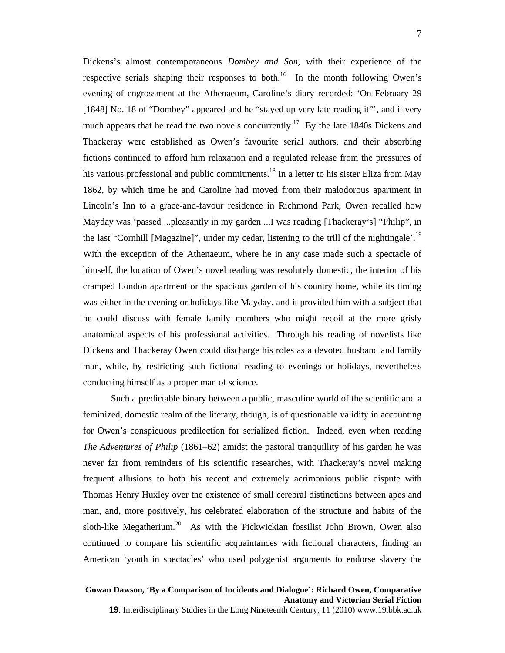Dickens's almost contemporaneous *Dombey and Son*, with their experience of the respective serials shaping their responses to both.<sup>16</sup> In the month following Owen's evening of engrossment at the Athenaeum, Caroline's diary recorded: 'On February 29 [1848] No. 18 of "Dombey" appeared and he "stayed up very late reading it"', and it very much appears that he read the two novels concurrently.<sup>17</sup> By the late 1840s Dickens and Thackeray were established as Owen's favourite serial authors, and their absorbing fictions continued to afford him relaxation and a regulated release from the pressures of his various professional and public commitments.<sup>18</sup> In a letter to his sister Eliza from May 1862, by which time he and Caroline had moved from their malodorous apartment in Lincoln's Inn to a grace-and-favour residence in Richmond Park, Owen recalled how Mayday was 'passed ...pleasantly in my garden ...I was reading [Thackeray's] "Philip", in the last "Cornhill [Magazine]", under my cedar, listening to the trill of the nightingale'.<sup>19</sup> With the exception of the Athenaeum, where he in any case made such a spectacle of himself, the location of Owen's novel reading was resolutely domestic, the interior of his cramped London apartment or the spacious garden of his country home, while its timing was either in the evening or holidays like Mayday, and it provided him with a subject that he could discuss with female family members who might recoil at the more grisly anatomical aspects of his professional activities. Through his reading of novelists like Dickens and Thackeray Owen could discharge his roles as a devoted husband and family man, while, by restricting such fictional reading to evenings or holidays, nevertheless conducting himself as a proper man of science.

Such a predictable binary between a public, masculine world of the scientific and a feminized, domestic realm of the literary, though, is of questionable validity in accounting for Owen's conspicuous predilection for serialized fiction. Indeed, even when reading *The Adventures of Philip* (1861–62) amidst the pastoral tranquillity of his garden he was never far from reminders of his scientific researches, with Thackeray's novel making frequent allusions to both his recent and extremely acrimonious public dispute with Thomas Henry Huxley over the existence of small cerebral distinctions between apes and man, and, more positively, his celebrated elaboration of the structure and habits of the sloth-like Megatherium.<sup>20</sup> As with the Pickwickian fossilist John Brown, Owen also continued to compare his scientific acquaintances with fictional characters, finding an American 'youth in spectacles' who used polygenist arguments to endorse slavery the

### **Gowan Dawson, 'By a Comparison of Incidents and Dialogue': Richard Owen, Comparative Anatomy and Victorian Serial Fiction**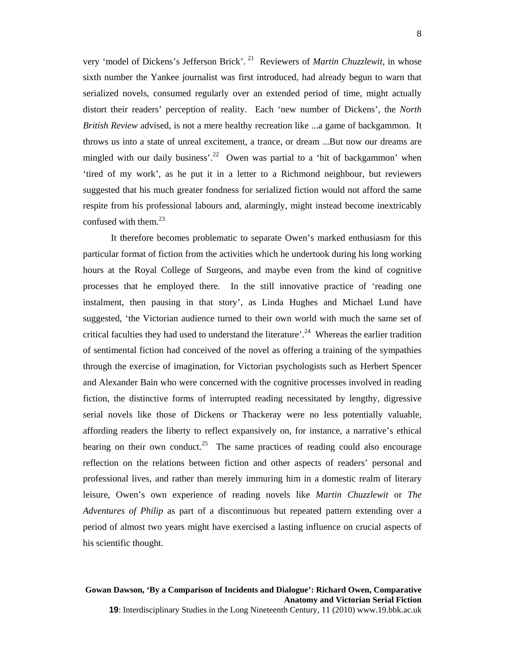very 'model of Dickens's Jefferson Brick'. 21 Reviewers of *Martin Chuzzlewit*, in whose sixth number the Yankee journalist was first introduced, had already begun to warn that serialized novels, consumed regularly over an extended period of time, might actually distort their readers' perception of reality. Each 'new number of Dickens', the *North British Review* advised, is not a mere healthy recreation like ...a game of backgammon. It throws us into a state of unreal excitement, a trance, or dream ...But now our dreams are mingled with our daily business'.<sup>22</sup> Owen was partial to a 'hit of backgammon' when 'tired of my work', as he put it in a letter to a Richmond neighbour, but reviewers suggested that his much greater fondness for serialized fiction would not afford the same respite from his professional labours and, alarmingly, might instead become inextricably confused with them. $^{23}$ 

It therefore becomes problematic to separate Owen's marked enthusiasm for this particular format of fiction from the activities which he undertook during his long working hours at the Royal College of Surgeons, and maybe even from the kind of cognitive processes that he employed there. In the still innovative practice of 'reading one instalment, then pausing in that story', as Linda Hughes and Michael Lund have suggested, 'the Victorian audience turned to their own world with much the same set of critical faculties they had used to understand the literature'.<sup>24</sup> Whereas the earlier tradition of sentimental fiction had conceived of the novel as offering a training of the sympathies through the exercise of imagination, for Victorian psychologists such as Herbert Spencer and Alexander Bain who were concerned with the cognitive processes involved in reading fiction, the distinctive forms of interrupted reading necessitated by lengthy, digressive serial novels like those of Dickens or Thackeray were no less potentially valuable, affording readers the liberty to reflect expansively on, for instance, a narrative's ethical bearing on their own conduct.<sup>25</sup> The same practices of reading could also encourage reflection on the relations between fiction and other aspects of readers' personal and professional lives, and rather than merely immuring him in a domestic realm of literary leisure, Owen's own experience of reading novels like *Martin Chuzzlewit* or *The Adventures of Philip* as part of a discontinuous but repeated pattern extending over a period of almost two years might have exercised a lasting influence on crucial aspects of his scientific thought.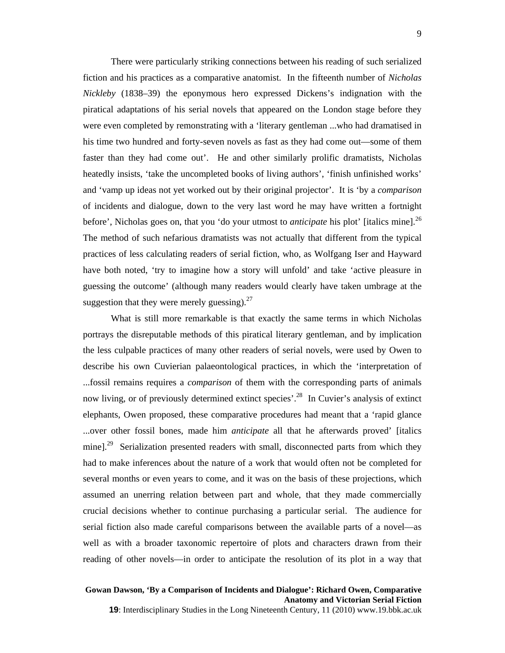There were particularly striking connections between his reading of such serialized fiction and his practices as a comparative anatomist. In the fifteenth number of *Nicholas Nickleby* (1838–39) the eponymous hero expressed Dickens's indignation with the piratical adaptations of his serial novels that appeared on the London stage before they were even completed by remonstrating with a 'literary gentleman ...who had dramatised in his time two hundred and forty-seven novels as fast as they had come out—some of them faster than they had come out'. He and other similarly prolific dramatists, Nicholas heatedly insists, 'take the uncompleted books of living authors', 'finish unfinished works' and 'vamp up ideas not yet worked out by their original projector'. It is 'by a *comparison* of incidents and dialogue, down to the very last word he may have written a fortnight before', Nicholas goes on, that you 'do your utmost to *anticipate* his plot' [italics mine].<sup>26</sup> The method of such nefarious dramatists was not actually that different from the typical practices of less calculating readers of serial fiction, who, as Wolfgang Iser and Hayward have both noted, 'try to imagine how a story will unfold' and take 'active pleasure in guessing the outcome' (although many readers would clearly have taken umbrage at the suggestion that they were merely guessing). $27$ 

What is still more remarkable is that exactly the same terms in which Nicholas portrays the disreputable methods of this piratical literary gentleman, and by implication the less culpable practices of many other readers of serial novels, were used by Owen to describe his own Cuvierian palaeontological practices, in which the 'interpretation of ...fossil remains requires a *comparison* of them with the corresponding parts of animals now living, or of previously determined extinct species<sup>'.28</sup> In Cuvier's analysis of extinct elephants, Owen proposed, these comparative procedures had meant that a 'rapid glance ...over other fossil bones, made him *anticipate* all that he afterwards proved' [italics mine].<sup>29</sup> Serialization presented readers with small, disconnected parts from which they had to make inferences about the nature of a work that would often not be completed for several months or even years to come, and it was on the basis of these projections, which assumed an unerring relation between part and whole, that they made commercially crucial decisions whether to continue purchasing a particular serial. The audience for serial fiction also made careful comparisons between the available parts of a novel—as well as with a broader taxonomic repertoire of plots and characters drawn from their reading of other novels—in order to anticipate the resolution of its plot in a way that

### **Gowan Dawson, 'By a Comparison of Incidents and Dialogue': Richard Owen, Comparative Anatomy and Victorian Serial Fiction**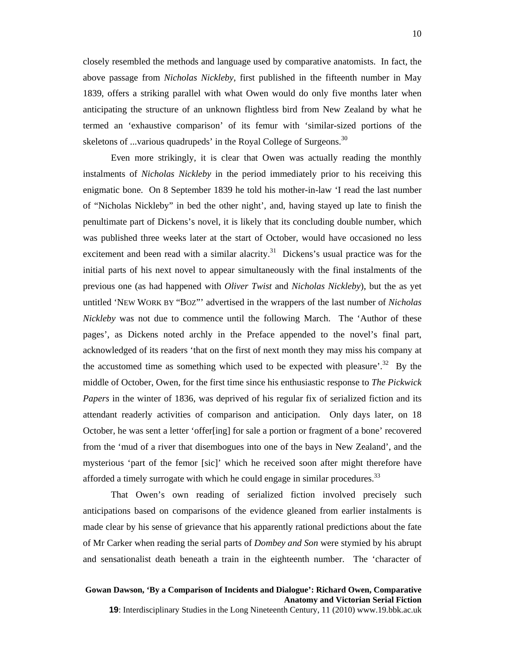closely resembled the methods and language used by comparative anatomists. In fact, the above passage from *Nicholas Nickleby*, first published in the fifteenth number in May 1839, offers a striking parallel with what Owen would do only five months later when anticipating the structure of an unknown flightless bird from New Zealand by what he termed an 'exhaustive comparison' of its femur with 'similar-sized portions of the skeletons of ...various quadrupeds' in the Royal College of Surgeons.<sup>30</sup>

Even more strikingly, it is clear that Owen was actually reading the monthly instalments of *Nicholas Nickleby* in the period immediately prior to his receiving this enigmatic bone. On 8 September 1839 he told his mother-in-law 'I read the last number of "Nicholas Nickleby" in bed the other night', and, having stayed up late to finish the penultimate part of Dickens's novel, it is likely that its concluding double number, which was published three weeks later at the start of October, would have occasioned no less excitement and been read with a similar alacrity.<sup>31</sup> Dickens's usual practice was for the initial parts of his next novel to appear simultaneously with the final instalments of the previous one (as had happened with *Oliver Twist* and *Nicholas Nickleby*), but the as yet untitled 'NEW WORK BY "BOZ"' advertised in the wrappers of the last number of *Nicholas Nickleby* was not due to commence until the following March. The 'Author of these pages', as Dickens noted archly in the Preface appended to the novel's final part, acknowledged of its readers 'that on the first of next month they may miss his company at the accustomed time as something which used to be expected with pleasure'.<sup>32</sup> By the middle of October, Owen, for the first time since his enthusiastic response to *The Pickwick Papers* in the winter of 1836, was deprived of his regular fix of serialized fiction and its attendant readerly activities of comparison and anticipation. Only days later, on 18 October, he was sent a letter 'offer[ing] for sale a portion or fragment of a bone' recovered from the 'mud of a river that disembogues into one of the bays in New Zealand', and the mysterious 'part of the femor [sic]' which he received soon after might therefore have afforded a timely surrogate with which he could engage in similar procedures.<sup>33</sup>

 That Owen's own reading of serialized fiction involved precisely such anticipations based on comparisons of the evidence gleaned from earlier instalments is made clear by his sense of grievance that his apparently rational predictions about the fate of Mr Carker when reading the serial parts of *Dombey and Son* were stymied by his abrupt and sensationalist death beneath a train in the eighteenth number. The 'character of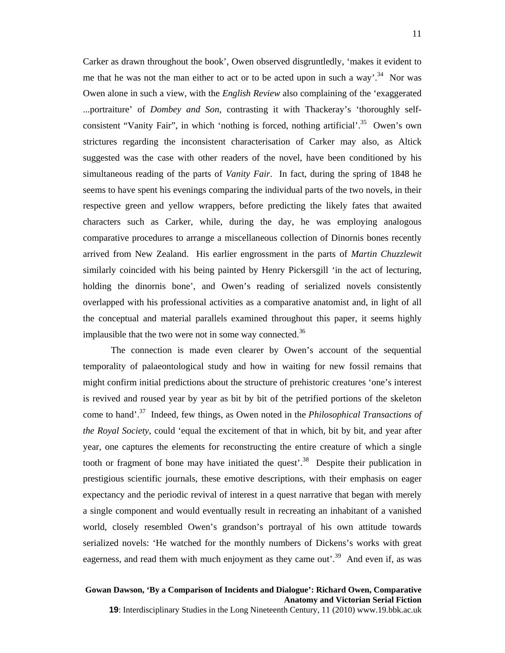Carker as drawn throughout the book', Owen observed disgruntledly, 'makes it evident to me that he was not the man either to act or to be acted upon in such a way'.<sup>34</sup> Nor was Owen alone in such a view, with the *English Review* also complaining of the 'exaggerated ...portraiture' of *Dombey and Son*, contrasting it with Thackeray's 'thoroughly selfconsistent "Vanity Fair", in which 'nothing is forced, nothing artificial'.<sup>35</sup> Owen's own strictures regarding the inconsistent characterisation of Carker may also, as Altick suggested was the case with other readers of the novel, have been conditioned by his simultaneous reading of the parts of *Vanity Fair*. In fact, during the spring of 1848 he seems to have spent his evenings comparing the individual parts of the two novels, in their respective green and yellow wrappers, before predicting the likely fates that awaited characters such as Carker, while, during the day, he was employing analogous comparative procedures to arrange a miscellaneous collection of Dinornis bones recently arrived from New Zealand. His earlier engrossment in the parts of *Martin Chuzzlewit* similarly coincided with his being painted by Henry Pickersgill 'in the act of lecturing, holding the dinornis bone', and Owen's reading of serialized novels consistently overlapped with his professional activities as a comparative anatomist and, in light of all the conceptual and material parallels examined throughout this paper, it seems highly implausible that the two were not in some way connected.<sup>36</sup>

The connection is made even clearer by Owen's account of the sequential temporality of palaeontological study and how in waiting for new fossil remains that might confirm initial predictions about the structure of prehistoric creatures 'one's interest is revived and roused year by year as bit by bit of the petrified portions of the skeleton come to hand'.37 Indeed, few things, as Owen noted in the *Philosophical Transactions of the Royal Society*, could 'equal the excitement of that in which, bit by bit, and year after year, one captures the elements for reconstructing the entire creature of which a single tooth or fragment of bone may have initiated the quest'.<sup>38</sup> Despite their publication in prestigious scientific journals, these emotive descriptions, with their emphasis on eager expectancy and the periodic revival of interest in a quest narrative that began with merely a single component and would eventually result in recreating an inhabitant of a vanished world, closely resembled Owen's grandson's portrayal of his own attitude towards serialized novels: 'He watched for the monthly numbers of Dickens's works with great eagerness, and read them with much enjoyment as they came out<sup> $39$ </sup>. And even if, as was

### **Gowan Dawson, 'By a Comparison of Incidents and Dialogue': Richard Owen, Comparative Anatomy and Victorian Serial Fiction**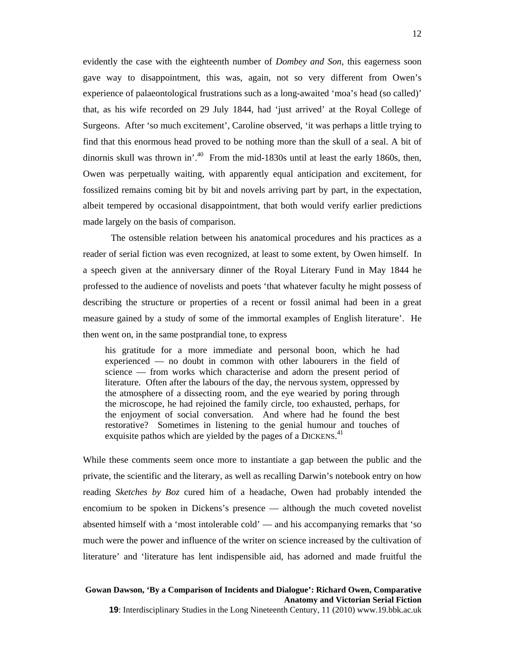evidently the case with the eighteenth number of *Dombey and Son*, this eagerness soon gave way to disappointment, this was, again, not so very different from Owen's experience of palaeontological frustrations such as a long-awaited 'moa's head (so called)' that, as his wife recorded on 29 July 1844, had 'just arrived' at the Royal College of Surgeons. After 'so much excitement', Caroline observed, 'it was perhaps a little trying to find that this enormous head proved to be nothing more than the skull of a seal. A bit of dinornis skull was thrown in'.<sup>40</sup> From the mid-1830s until at least the early 1860s, then, Owen was perpetually waiting, with apparently equal anticipation and excitement, for fossilized remains coming bit by bit and novels arriving part by part, in the expectation, albeit tempered by occasional disappointment, that both would verify earlier predictions made largely on the basis of comparison.

The ostensible relation between his anatomical procedures and his practices as a reader of serial fiction was even recognized, at least to some extent, by Owen himself. In a speech given at the anniversary dinner of the Royal Literary Fund in May 1844 he professed to the audience of novelists and poets 'that whatever faculty he might possess of describing the structure or properties of a recent or fossil animal had been in a great measure gained by a study of some of the immortal examples of English literature'. He then went on, in the same postprandial tone, to express

his gratitude for a more immediate and personal boon, which he had experienced — no doubt in common with other labourers in the field of science — from works which characterise and adorn the present period of literature. Often after the labours of the day, the nervous system, oppressed by the atmosphere of a dissecting room, and the eye wearied by poring through the microscope, he had rejoined the family circle, too exhausted, perhaps, for the enjoyment of social conversation. And where had he found the best restorative? Sometimes in listening to the genial humour and touches of exquisite pathos which are yielded by the pages of a DICKENS.<sup>41</sup>

While these comments seem once more to instantiate a gap between the public and the private, the scientific and the literary, as well as recalling Darwin's notebook entry on how reading *Sketches by Boz* cured him of a headache, Owen had probably intended the encomium to be spoken in Dickens's presence — although the much coveted novelist absented himself with a 'most intolerable cold' — and his accompanying remarks that 'so much were the power and influence of the writer on science increased by the cultivation of literature' and 'literature has lent indispensible aid, has adorned and made fruitful the

# **Gowan Dawson, 'By a Comparison of Incidents and Dialogue': Richard Owen, Comparative Anatomy and Victorian Serial Fiction**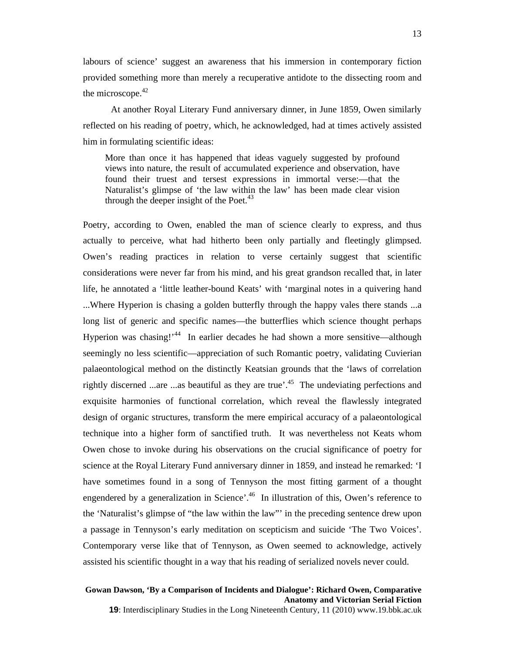labours of science' suggest an awareness that his immersion in contemporary fiction provided something more than merely a recuperative antidote to the dissecting room and the microscope. $42$ 

At another Royal Literary Fund anniversary dinner, in June 1859, Owen similarly reflected on his reading of poetry, which, he acknowledged, had at times actively assisted him in formulating scientific ideas:

More than once it has happened that ideas vaguely suggested by profound views into nature, the result of accumulated experience and observation, have found their truest and tersest expressions in immortal verse:—that the Naturalist's glimpse of 'the law within the law' has been made clear vision through the deeper insight of the Poet. $43$ 

Poetry, according to Owen, enabled the man of science clearly to express, and thus actually to perceive, what had hitherto been only partially and fleetingly glimpsed. Owen's reading practices in relation to verse certainly suggest that scientific considerations were never far from his mind, and his great grandson recalled that, in later life, he annotated a 'little leather-bound Keats' with 'marginal notes in a quivering hand ...Where Hyperion is chasing a golden butterfly through the happy vales there stands ...a long list of generic and specific names—the butterflies which science thought perhaps Hyperion was chasing!<sup>44</sup> In earlier decades he had shown a more sensitive—although seemingly no less scientific—appreciation of such Romantic poetry, validating Cuvierian palaeontological method on the distinctly Keatsian grounds that the 'laws of correlation rightly discerned ...are ...as beautiful as they are true'.<sup>45</sup> The undeviating perfections and exquisite harmonies of functional correlation, which reveal the flawlessly integrated design of organic structures, transform the mere empirical accuracy of a palaeontological technique into a higher form of sanctified truth. It was nevertheless not Keats whom Owen chose to invoke during his observations on the crucial significance of poetry for science at the Royal Literary Fund anniversary dinner in 1859, and instead he remarked: 'I have sometimes found in a song of Tennyson the most fitting garment of a thought engendered by a generalization in Science'.<sup>46</sup> In illustration of this, Owen's reference to the 'Naturalist's glimpse of "the law within the law"' in the preceding sentence drew upon a passage in Tennyson's early meditation on scepticism and suicide 'The Two Voices'. Contemporary verse like that of Tennyson, as Owen seemed to acknowledge, actively assisted his scientific thought in a way that his reading of serialized novels never could.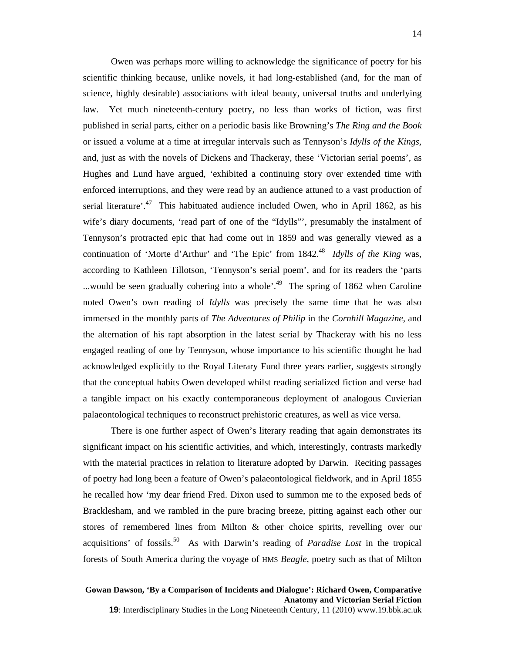Owen was perhaps more willing to acknowledge the significance of poetry for his scientific thinking because, unlike novels, it had long-established (and, for the man of science, highly desirable) associations with ideal beauty, universal truths and underlying law. Yet much nineteenth-century poetry, no less than works of fiction, was first published in serial parts, either on a periodic basis like Browning's *The Ring and the Book* or issued a volume at a time at irregular intervals such as Tennyson's *Idylls of the Kings*, and, just as with the novels of Dickens and Thackeray, these 'Victorian serial poems', as Hughes and Lund have argued, 'exhibited a continuing story over extended time with enforced interruptions, and they were read by an audience attuned to a vast production of serial literature'.<sup>47</sup> This habituated audience included Owen, who in April 1862, as his wife's diary documents, 'read part of one of the "Idylls"', presumably the instalment of Tennyson's protracted epic that had come out in 1859 and was generally viewed as a continuation of 'Morte d'Arthur' and 'The Epic' from 1842.<sup>48</sup> *Idylls of the King* was, according to Kathleen Tillotson, 'Tennyson's serial poem', and for its readers the 'parts ...would be seen gradually cohering into a whole<sup> $19$ </sup>. The spring of 1862 when Caroline noted Owen's own reading of *Idylls* was precisely the same time that he was also immersed in the monthly parts of *The Adventures of Philip* in the *Cornhill Magazine*, and the alternation of his rapt absorption in the latest serial by Thackeray with his no less engaged reading of one by Tennyson, whose importance to his scientific thought he had acknowledged explicitly to the Royal Literary Fund three years earlier, suggests strongly that the conceptual habits Owen developed whilst reading serialized fiction and verse had a tangible impact on his exactly contemporaneous deployment of analogous Cuvierian palaeontological techniques to reconstruct prehistoric creatures, as well as vice versa.

There is one further aspect of Owen's literary reading that again demonstrates its significant impact on his scientific activities, and which, interestingly, contrasts markedly with the material practices in relation to literature adopted by Darwin. Reciting passages of poetry had long been a feature of Owen's palaeontological fieldwork, and in April 1855 he recalled how 'my dear friend Fred. Dixon used to summon me to the exposed beds of Bracklesham, and we rambled in the pure bracing breeze, pitting against each other our stores of remembered lines from Milton & other choice spirits, revelling over our acquisitions' of fossils.50 As with Darwin's reading of *Paradise Lost* in the tropical forests of South America during the voyage of HMS *Beagle*, poetry such as that of Milton

# **Gowan Dawson, 'By a Comparison of Incidents and Dialogue': Richard Owen, Comparative Anatomy and Victorian Serial Fiction**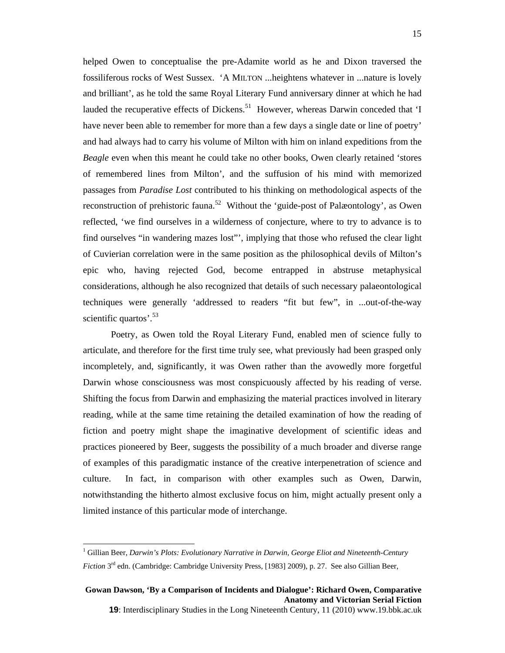helped Owen to conceptualise the pre-Adamite world as he and Dixon traversed the fossiliferous rocks of West Sussex. 'A MILTON ...heightens whatever in ...nature is lovely and brilliant', as he told the same Royal Literary Fund anniversary dinner at which he had lauded the recuperative effects of Dickens.<sup>51</sup> However, whereas Darwin conceded that 'I have never been able to remember for more than a few days a single date or line of poetry' and had always had to carry his volume of Milton with him on inland expeditions from the *Beagle* even when this meant he could take no other books, Owen clearly retained 'stores of remembered lines from Milton', and the suffusion of his mind with memorized passages from *Paradise Lost* contributed to his thinking on methodological aspects of the reconstruction of prehistoric fauna.<sup>52</sup> Without the 'guide-post of Palæontology', as Owen reflected, 'we find ourselves in a wilderness of conjecture, where to try to advance is to find ourselves "in wandering mazes lost"', implying that those who refused the clear light of Cuvierian correlation were in the same position as the philosophical devils of Milton's epic who, having rejected God, become entrapped in abstruse metaphysical considerations, although he also recognized that details of such necessary palaeontological techniques were generally 'addressed to readers "fit but few", in ...out-of-the-way scientific quartos'.<sup>53</sup>

Poetry, as Owen told the Royal Literary Fund, enabled men of science fully to articulate, and therefore for the first time truly see, what previously had been grasped only incompletely, and, significantly, it was Owen rather than the avowedly more forgetful Darwin whose consciousness was most conspicuously affected by his reading of verse. Shifting the focus from Darwin and emphasizing the material practices involved in literary reading, while at the same time retaining the detailed examination of how the reading of fiction and poetry might shape the imaginative development of scientific ideas and practices pioneered by Beer, suggests the possibility of a much broader and diverse range of examples of this paradigmatic instance of the creative interpenetration of science and culture. In fact, in comparison with other examples such as Owen, Darwin, notwithstanding the hitherto almost exclusive focus on him, might actually present only a limited instance of this particular mode of interchange.

 $\overline{a}$ 

<sup>&</sup>lt;sup>1</sup> Gillian Beer, *Darwin's Plots: Evolutionary Narrative in Darwin, George Eliot and Nineteenth-Century Fiction* 3<sup>rd</sup> edn. (Cambridge: Cambridge University Press, [1983] 2009), p. 27. See also Gillian Beer,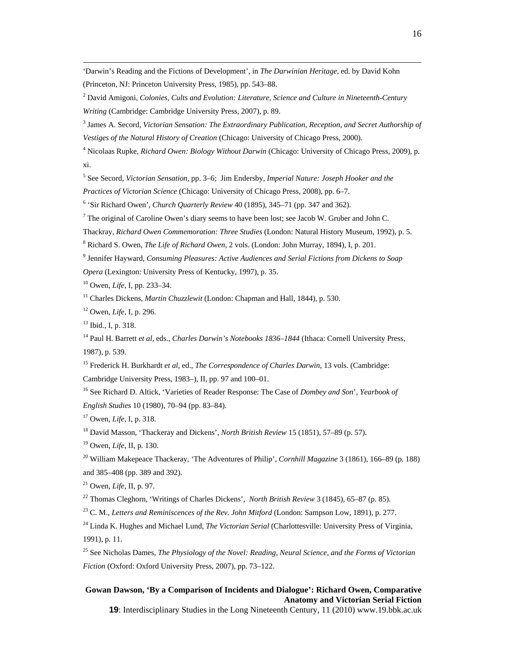'Darwin's Reading and the Fictions of Development', in *The Darwinian Heritage*, ed. by David Kohn (Princeton, NJ: Princeton University Press, 1985), pp. 543–88.

2 David Amigoni, *Colonies, Cults and Evolution: Literature, Science and Culture in Nineteenth-Century Writing* (Cambridge: Cambridge University Press, 2007), p. 89.

3 James A. Secord, *Victorian Sensation: The Extraordinary Publication, Reception, and Secret Authorship of Vestiges of the Natural History of Creation* (Chicago: University of Chicago Press, 2000).

4 Nicolaas Rupke, *Richard Owen: Biology Without Darwin* (Chicago: University of Chicago Press, 2009), p. xi.

5 See Secord, *Victorian Sensation*, pp. 3–6; Jim Endersby, *Imperial Nature: Joseph Hooker and the* 

*Practices of Victorian Science* (Chicago: University of Chicago Press, 2008), pp. 6–7.

<sup>6</sup> 'Sir Richard Owen', *Church Quarterly Review* 40 (1895), 345–71 (pp. 347 and 362).

 $7$  The original of Caroline Owen's diary seems to have been lost; see Jacob W. Gruber and John C.

Thackray, *Richard Owen Commemoration: Three Studies* (London: Natural History Museum, 1992), p. 5.

8 Richard S. Owen, *The Life of Richard Owen*, 2 vols. (London: John Murray, 1894), I, p. 201.

9 Jennifer Hayward, *Consuming Pleasures: Active Audiences and Serial Fictions from Dickens to Soap* 

*Opera* (Lexington: University Press of Kentucky, 1997), p. 35.

10 Owen, *Life*, I, pp. 233–34.

11 Charles Dickens, *Martin Chuzzlewit* (London: Chapman and Hall, 1844), p. 530.

12 Owen, *Life*, I, p. 296.

13 Ibid., I, p. 318.

14 Paul H. Barrett *et al*, eds., *Charles Darwin's Notebooks 1836–1844* (Ithaca: Cornell University Press, 1987), p. 539.

15 Frederick H. Burkhardt *et al*, ed., *The Correspondence of Charles Darwin*, 13 vols. (Cambridge: Cambridge University Press, 1983–), II, pp. 97 and 100–01.

16 See Richard D. Altick, 'Varieties of Reader Response: The Case of *Dombey and Son*', *Yearbook of English Studies* 10 (1980), 70–94 (pp. 83–84).

17 Owen, *Life*, I, p. 318.

18 David Masson, 'Thackeray and Dickens', *North British Review* 15 (1851), 57–89 (p. 57).

19 Owen, *Life*, II, p. 130.

20 William Makepeace Thackeray, 'The Adventures of Philip', *Cornhill Magazine* 3 (1861), 166–89 (p. 188) and 385–408 (pp. 389 and 392).

21 Owen, *Life*, II, p. 97.

22 Thomas Cleghorn, 'Writings of Charles Dickens', *North British Review* 3 (1845), 65–87 (p. 85).

23 C. M., *Letters and Reminiscences of the Rev. John Mitford* (London: Sampson Low, 1891), p. 277.

24 Linda K. Hughes and Michael Lund, *The Victorian Serial* (Charlottesville: University Press of Virginia, 1991), p. 11.

25 See Nicholas Dames, *The Physiology of the Novel: Reading, Neural Science, and the Forms of Victorian Fiction* (Oxford: Oxford University Press, 2007), pp. 73–122.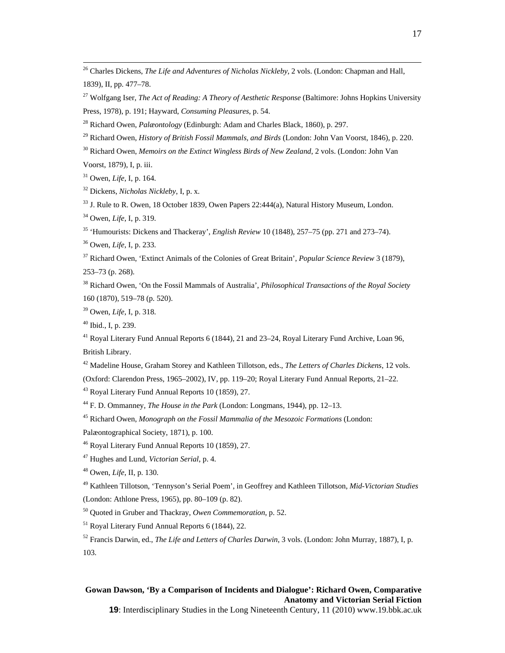26 Charles Dickens, *The Life and Adventures of Nicholas Nickleby*, 2 vols. (London: Chapman and Hall, 1839), II, pp. 477–78.

27 Wolfgang Iser, *The Act of Reading: A Theory of Aesthetic Response* (Baltimore: Johns Hopkins University Press, 1978), p. 191; Hayward, *Consuming Pleasures*, p. 54.

28 Richard Owen, *Palæontology* (Edinburgh: Adam and Charles Black, 1860), p. 297.

29 Richard Owen, *History of British Fossil Mammals, and Birds* (London: John Van Voorst, 1846), p. 220.

30 Richard Owen, *Memoirs on the Extinct Wingless Birds of New Zealand*, 2 vols. (London: John Van

Voorst, 1879), I, p. iii.

31 Owen, *Life*, I, p. 164.

32 Dickens, *Nicholas Nickleby*, I, p. x.

<sup>33</sup> J. Rule to R. Owen, 18 October 1839, Owen Papers 22:444(a), Natural History Museum, London.

34 Owen, *Life*, I, p. 319.

35 'Humourists: Dickens and Thackeray', *English Review* 10 (1848), 257–75 (pp. 271 and 273–74).

36 Owen, *Life*, I, p. 233.

37 Richard Owen, 'Extinct Animals of the Colonies of Great Britain', *Popular Science Review* 3 (1879),

253–73 (p. 268).

38 Richard Owen, 'On the Fossil Mammals of Australia', *Philosophical Transactions of the Royal Society* 160 (1870), 519–78 (p. 520).

39 Owen, *Life*, I, p. 318.

40 Ibid., I, p. 239.

<sup>41</sup> Royal Literary Fund Annual Reports 6 (1844), 21 and 23–24, Royal Literary Fund Archive, Loan 96, British Library.

42 Madeline House, Graham Storey and Kathleen Tillotson, eds., *The Letters of Charles Dickens*, 12 vols.

(Oxford: Clarendon Press, 1965–2002), IV, pp. 119–20; Royal Literary Fund Annual Reports, 21–22.

43 Royal Literary Fund Annual Reports 10 (1859), 27.

44 F. D. Ommanney, *The House in the Park* (London: Longmans, 1944), pp. 12–13.

45 Richard Owen, *Monograph on the Fossil Mammalia of the Mesozoic Formations* (London:

Palæontographical Society, 1871), p. 100.

46 Royal Literary Fund Annual Reports 10 (1859), 27.

47 Hughes and Lund, *Victorian Serial*, p. 4.

48 Owen, *Life*, II, p. 130.

49 Kathleen Tillotson, 'Tennyson's Serial Poem', in Geoffrey and Kathleen Tillotson, *Mid-Victorian Studies*

(London: Athlone Press, 1965), pp. 80–109 (p. 82).

50 Quoted in Gruber and Thackray, *Owen Commemoration*, p. 52.

51 Royal Literary Fund Annual Reports 6 (1844), 22.

52 Francis Darwin, ed., *The Life and Letters of Charles Darwin*, 3 vols. (London: John Murray, 1887), I, p. 103.

### **Gowan Dawson, 'By a Comparison of Incidents and Dialogue': Richard Owen, Comparative Anatomy and Victorian Serial Fiction**